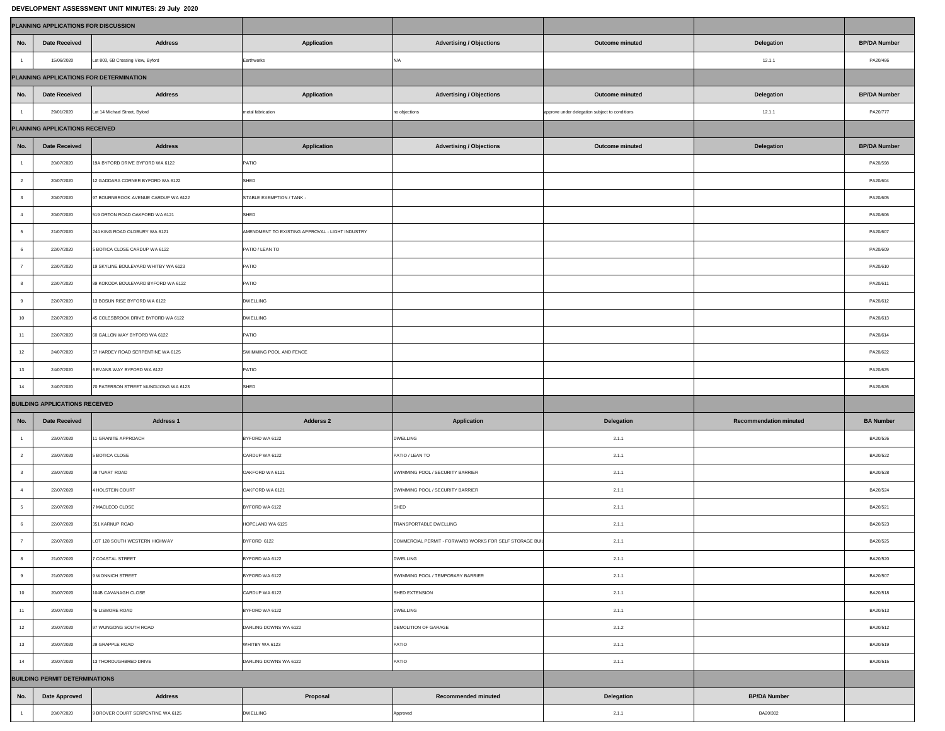## **DEVELOPMENT ASSESSMENT UNIT MINUTES: 29 July 2020**

| <b>PLANNING APPLICATIONS FOR DISCUSSION</b> |                                         |                                      |                                                 |                                                         |                                                |                               |                     |  |  |  |  |
|---------------------------------------------|-----------------------------------------|--------------------------------------|-------------------------------------------------|---------------------------------------------------------|------------------------------------------------|-------------------------------|---------------------|--|--|--|--|
| No.                                         | <b>Date Received</b>                    | <b>Address</b>                       | <b>Application</b>                              | <b>Advertising / Objections</b>                         | <b>Outcome minuted</b>                         | <b>Delegation</b>             | <b>BP/DA Number</b> |  |  |  |  |
|                                             | 15/06/2020                              | Lot 803, 6B Crossing View, Byford    | Earthworks                                      | N/A                                                     |                                                | 12.1.1                        | PA20/486            |  |  |  |  |
|                                             | PLANNING APPLICATIONS FOR DETERMINATION |                                      |                                                 |                                                         |                                                |                               |                     |  |  |  |  |
| No.                                         | <b>Date Received</b>                    | <b>Address</b>                       | <b>Application</b>                              | <b>Advertising / Objections</b>                         | <b>Outcome minuted</b>                         | <b>Delegation</b>             | <b>BP/DA Number</b> |  |  |  |  |
|                                             | 29/01/2020                              | Lot 14 Michael Street, Byford        | metal fabrication                               | no objections                                           | approve under delegation subject to conditions | 12.1.1                        | PA20/777            |  |  |  |  |
| <b>PLANNING APPLICATIONS RECEIVED</b>       |                                         |                                      |                                                 |                                                         |                                                |                               |                     |  |  |  |  |
| No.                                         | <b>Date Received</b>                    | <b>Address</b>                       | Application                                     | <b>Advertising / Objections</b>                         | <b>Outcome minuted</b>                         | <b>Delegation</b>             | <b>BP/DA Number</b> |  |  |  |  |
|                                             | 20/07/2020                              | 19A BYFORD DRIVE BYFORD WA 6122      | PATIO                                           |                                                         |                                                |                               | PA20/598            |  |  |  |  |
|                                             | 20/07/2020                              | 12 GADDARA CORNER BYFORD WA 6122     | SHED                                            |                                                         |                                                |                               | PA20/604            |  |  |  |  |
|                                             | 20/07/2020                              | 97 BOURNBROOK AVENUE CARDUP WA 6122  | STABLE EXEMPTION / TANK -                       |                                                         |                                                |                               | PA20/605            |  |  |  |  |
|                                             | 20/07/2020                              | 519 ORTON ROAD OAKFORD WA 6121       | SHED                                            |                                                         |                                                |                               | PA20/606            |  |  |  |  |
|                                             | 21/07/2020                              | 244 KING ROAD OLDBURY WA 6121        | AMENDMENT TO EXISTING APPROVAL - LIGHT INDUSTRY |                                                         |                                                |                               | PA20/607            |  |  |  |  |
|                                             | 22/07/2020                              | 5 BOTICA CLOSE CARDUP WA 6122        | PATIO / LEAN TO                                 |                                                         |                                                |                               | PA20/609            |  |  |  |  |
|                                             | 22/07/2020                              | 19 SKYLINE BOULEVARD WHITBY WA 6123  | <b>PATIO</b>                                    |                                                         |                                                |                               | PA20/610            |  |  |  |  |
|                                             | 22/07/2020                              | 89 KOKODA BOULEVARD BYFORD WA 6122   | <b>PATIO</b>                                    |                                                         |                                                |                               | PA20/611            |  |  |  |  |
|                                             | 22/07/2020                              | 13 BOSUN RISE BYFORD WA 6122         | <b>DWELLING</b>                                 |                                                         |                                                |                               | PA20/612            |  |  |  |  |
| 10                                          | 22/07/2020                              | 45 COLESBROOK DRIVE BYFORD WA 6122   | <b>DWELLING</b>                                 |                                                         |                                                |                               | PA20/613            |  |  |  |  |
|                                             | 22/07/2020                              | 60 GALLON WAY BYFORD WA 6122         | PATIO                                           |                                                         |                                                |                               | PA20/614            |  |  |  |  |
| 12                                          | 24/07/2020                              | 57 HARDEY ROAD SERPENTINE WA 6125    | SWIMMING POOL AND FENCE                         |                                                         |                                                |                               | PA20/622            |  |  |  |  |
| 13                                          | 24/07/2020                              | 6 EVANS WAY BYFORD WA 6122           | <b>PATIO</b>                                    |                                                         |                                                |                               | PA20/625            |  |  |  |  |
| 14                                          | 24/07/2020                              | 70 PATERSON STREET MUNDIJONG WA 6123 | SHED                                            |                                                         |                                                |                               | PA20/626            |  |  |  |  |
|                                             | <b>BUILDING APPLICATIONS RECEIVED</b>   |                                      |                                                 |                                                         |                                                |                               |                     |  |  |  |  |
| No.                                         | <b>Date Received</b>                    | <b>Address 1</b>                     | <b>Adderss 2</b>                                | <b>Application</b>                                      | <b>Delegation</b>                              | <b>Recommendation minuted</b> | <b>BA Number</b>    |  |  |  |  |
|                                             | 23/07/2020                              | 11 GRANITE APPROACH                  | BYFORD WA 6122                                  | <b>DWELLING</b>                                         | 2.1.1                                          |                               | BA20/526            |  |  |  |  |
|                                             | 23/07/2020                              | 5 BOTICA CLOSE                       | CARDUP WA 6122                                  | PATIO / LEAN TO                                         | 2.1.1                                          |                               | BA20/522            |  |  |  |  |
|                                             | 23/07/2020                              | 99 TUART ROAD                        | OAKFORD WA 6121                                 | SWIMMING POOL / SECURITY BARRIER                        | 2.1.1                                          |                               | BA20/528            |  |  |  |  |
|                                             | 22/07/2020                              | 4 HOLSTEIN COURT                     | OAKFORD WA 6121                                 | SWIMMING POOL / SECURITY BARRIER                        | 2.1.1                                          |                               | BA20/524            |  |  |  |  |
|                                             | 22/07/2020                              | 7 MACLEOD CLOSE                      | BYFORD WA 6122                                  | SHED                                                    | 2.1.1                                          |                               | BA20/521            |  |  |  |  |
|                                             | 22/07/2020                              | 351 KARNUP ROAD                      | HOPELAND WA 6125                                | TRANSPORTABLE DWELLING                                  | 2.1.1                                          |                               | BA20/523            |  |  |  |  |
|                                             | 22/07/2020                              | LOT 128 SOUTH WESTERN HIGHWAY        | BYFORD 6122                                     | COMMERCIAL PERMIT - FORWARD WORKS FOR SELF STORAGE BUIL | 2.1.1                                          |                               | BA20/525            |  |  |  |  |
|                                             | 21/07/2020                              | 7 COASTAL STREET                     | BYFORD WA 6122                                  | <b>DWELLING</b>                                         | 2.1.1                                          |                               | BA20/520            |  |  |  |  |
|                                             | 21/07/2020                              | 9 WONNICH STREET                     | BYFORD WA 6122                                  | SWIMMING POOL / TEMPORARY BARRIER                       | 2.1.1                                          |                               | BA20/507            |  |  |  |  |
| 10 <sup>1</sup>                             | 20/07/2020                              | 104B CAVANAGH CLOSE                  | CARDUP WA 6122                                  | SHED EXTENSION                                          | 2.1.1                                          |                               | BA20/518            |  |  |  |  |
|                                             | 20/07/2020                              | 45 LISMORE ROAD                      | BYFORD WA 6122                                  | <b>DWELLING</b>                                         | 2.1.1                                          |                               | BA20/513            |  |  |  |  |
| 12                                          | 20/07/2020                              | 97 WUNGONG SOUTH ROAD                | DARLING DOWNS WA 6122                           | <b>DEMOLITION OF GARAGE</b>                             | 2.1.2                                          |                               | BA20/512            |  |  |  |  |
| 13                                          | 20/07/2020                              | 29 GRAPPLE ROAD                      | WHITBY WA 6123                                  | PATIO                                                   | 2.1.1                                          |                               | BA20/519            |  |  |  |  |
| 14                                          | 20/07/2020                              | 13 THOROUGHBRED DRIVE                | DARLING DOWNS WA 6122                           | PATIO                                                   | 2.1.1                                          |                               | BA20/515            |  |  |  |  |
|                                             | <b>BUILDING PERMIT DETERMINATIONS</b>   |                                      |                                                 |                                                         |                                                |                               |                     |  |  |  |  |
| No.                                         | <b>Date Approved</b>                    | <b>Address</b>                       | <b>Proposal</b>                                 | <b>Recommended minuted</b>                              | <b>Delegation</b>                              | <b>BP/DA Number</b>           |                     |  |  |  |  |
|                                             | 20/07/2020                              | 9 DROVER COURT SERPENTINE WA 6125    | <b>DWELLING</b>                                 | Approved                                                | 2.1.1                                          | BA20/302                      |                     |  |  |  |  |